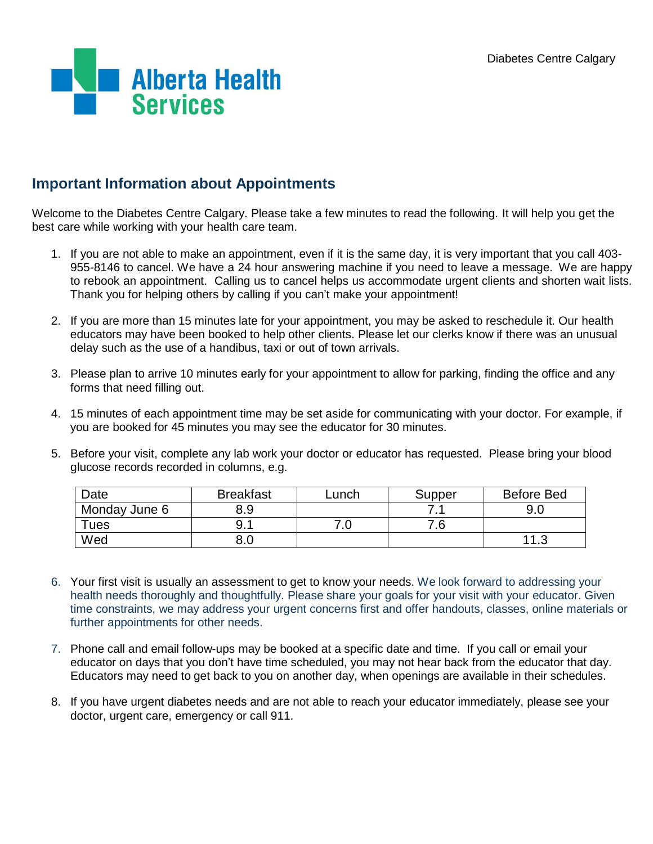

# **Important Information about Appointments**

Welcome to the Diabetes Centre Calgary. Please take a few minutes to read the following. It will help you get the best care while working with your health care team.

- 1. If you are not able to make an appointment, even if it is the same day, it is very important that you call 403- 955-8146 to cancel. We have a 24 hour answering machine if you need to leave a message. We are happy to rebook an appointment. Calling us to cancel helps us accommodate urgent clients and shorten wait lists. Thank you for helping others by calling if you can't make your appointment!
- 2. If you are more than 15 minutes late for your appointment, you may be asked to reschedule it. Our health educators may have been booked to help other clients. Please let our clerks know if there was an unusual delay such as the use of a handibus, taxi or out of town arrivals.
- 3. Please plan to arrive 10 minutes early for your appointment to allow for parking, finding the office and any forms that need filling out.
- 4. 15 minutes of each appointment time may be set aside for communicating with your doctor. For example, if you are booked for 45 minutes you may see the educator for 30 minutes.
- 5. Before your visit, complete any lab work your doctor or educator has requested. Please bring your blood glucose records recorded in columns, e.g.

| Date          | <b>Breakfast</b> | _unch | Supper | <b>Before Bed</b> |
|---------------|------------------|-------|--------|-------------------|
| Monday June 6 | 8.9              |       | . .    | 9.0               |
| $T$ ues       | 9.1              |       | 7.6    |                   |
| Wed           | 8.U              |       |        |                   |

- 6. Your first visit is usually an assessment to get to know your needs. We look forward to addressing your health needs thoroughly and thoughtfully. Please share your goals for your visit with your educator. Given time constraints, we may address your urgent concerns first and offer handouts, classes, online materials or further appointments for other needs.
- 7. Phone call and email follow-ups may be booked at a specific date and time. If you call or email your educator on days that you don't have time scheduled, you may not hear back from the educator that day. Educators may need to get back to you on another day, when openings are available in their schedules.
- 8. If you have urgent diabetes needs and are not able to reach your educator immediately, please see your doctor, urgent care, emergency or call 911.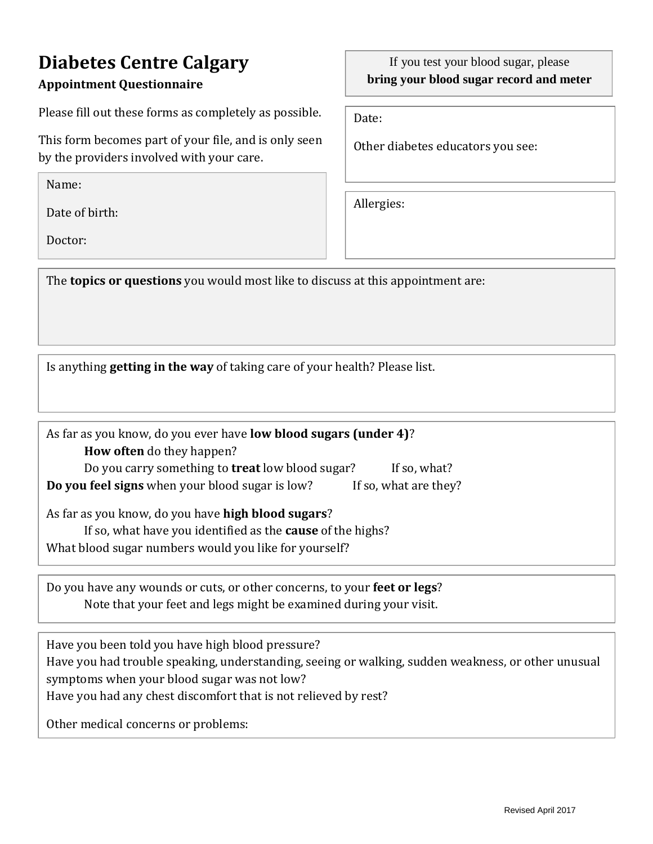# **Diabetes Centre Calgary**

## **Appointment Questionnaire**

Please fill out these forms as completely as possible.

This form becomes part of your file, and is only seen by the providers involved with your care.

Name:

Date of birth:

Doctor:

### If you test your blood sugar, please **bring your blood sugar record and meter**

Date:

Other diabetes educators you see:

Allergies:

The **topics or questions** you would most like to discuss at this appointment are:

Is anything **getting in the way** of taking care of your health? Please list.

| As far as you know, do you ever have low blood sugars (under 4)?         |  |  |
|--------------------------------------------------------------------------|--|--|
| <b>How often</b> do they happen?                                         |  |  |
| Do you carry something to treat low blood sugar?<br>If so, what?         |  |  |
| Do you feel signs when your blood sugar is low?<br>If so, what are they? |  |  |
| As far as you know, do you have high blood sugars?                       |  |  |
| If so, what have you identified as the <b>cause</b> of the highs?        |  |  |
| What blood sugar numbers would you like for yourself?                    |  |  |

Do you have any wounds or cuts, or other concerns, to your **feet or legs**? Note that your feet and legs might be examined during your visit.

Have you been told you have high blood pressure? Have you had trouble speaking, understanding, seeing or walking, sudden weakness, or other unusual symptoms when your blood sugar was not low? Have you had any chest discomfort that is not relieved by rest?

Other medical concerns or problems: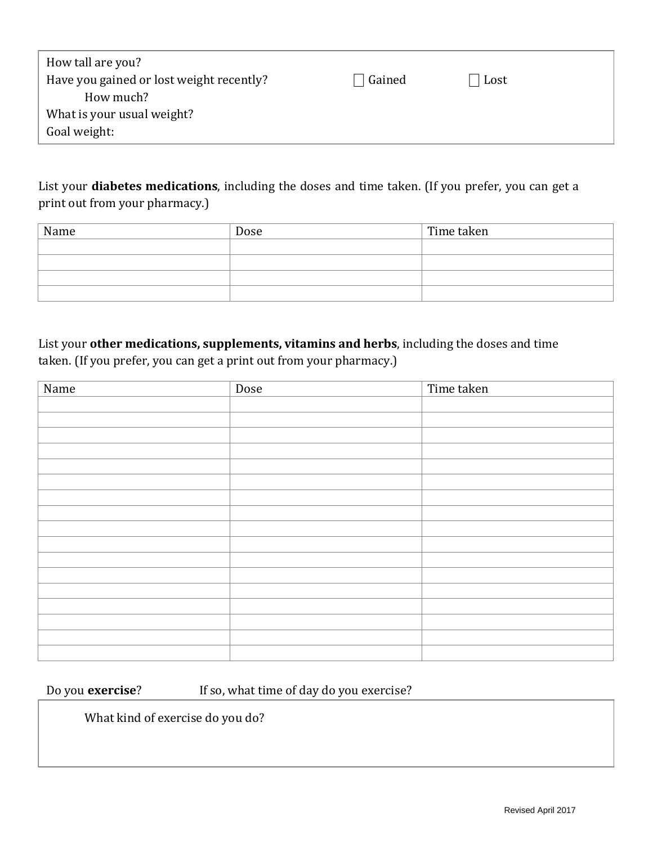| How tall are you?                        |        |      |
|------------------------------------------|--------|------|
| Have you gained or lost weight recently? | Gained | Lost |
| How much?                                |        |      |
| What is your usual weight?               |        |      |
| Goal weight:                             |        |      |
|                                          |        |      |

List your **diabetes medications**, including the doses and time taken. (If you prefer, you can get a print out from your pharmacy.)

| Name | Dose | Time taken |
|------|------|------------|
|      |      |            |
|      |      |            |
|      |      |            |
|      |      |            |

List your **other medications, supplements, vitamins and herbs**, including the doses and time taken. (If you prefer, you can get a print out from your pharmacy.)

| Name | Dose | Time taken |
|------|------|------------|
|      |      |            |
|      |      |            |
|      |      |            |
|      |      |            |
|      |      |            |
|      |      |            |
|      |      |            |
|      |      |            |
|      |      |            |
|      |      |            |
|      |      |            |
|      |      |            |
|      |      |            |
|      |      |            |
|      |      |            |
|      |      |            |
|      |      |            |

Do you **exercise**? If so, what time of day do you exercise?

What kind of exercise do you do?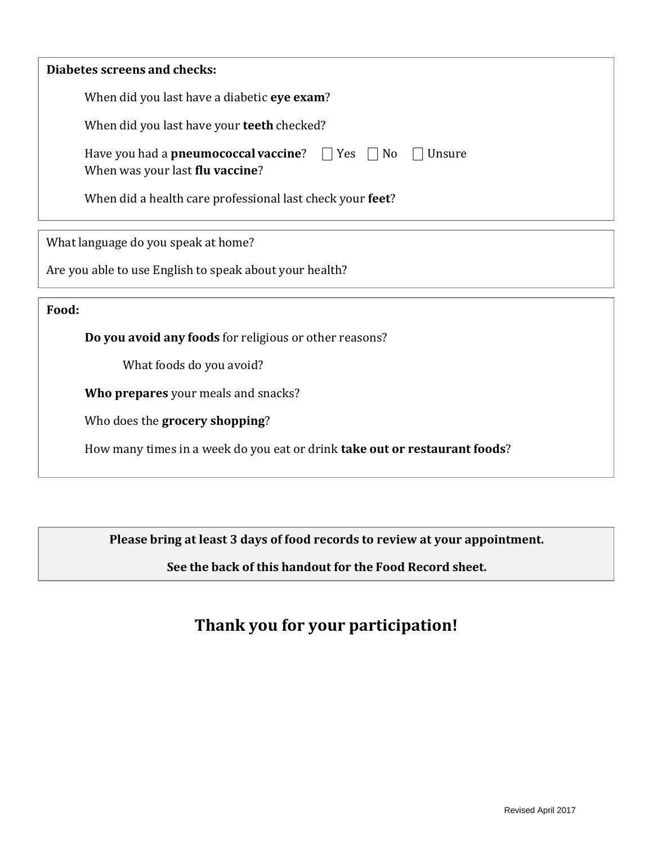When did you last have a diabetic **eye exam**?

When did you last have your **teeth** checked?

| Have you had a <b>pneumococcal vaccine</b> ? $\Box$ Yes $\Box$ No $\Box$ Unsure |  |  |
|---------------------------------------------------------------------------------|--|--|
| When was your last <b>flu vaccine</b> ?                                         |  |  |

When did a health care professional last check your **feet**?

What language do you speak at home?

Are you able to use English to speak about your health?

**Food:**

**Do you avoid any foods** for religious or other reasons?

What foods do you avoid?

**Who prepares** your meals and snacks?

Who does the **grocery shopping**?

How many times in a week do you eat or drink **take out or restaurant foods**?

**Please bring at least 3 days of food records to review at your appointment.**

**See the back of this handout for the Food Record sheet.**

# **Thank you for your participation!**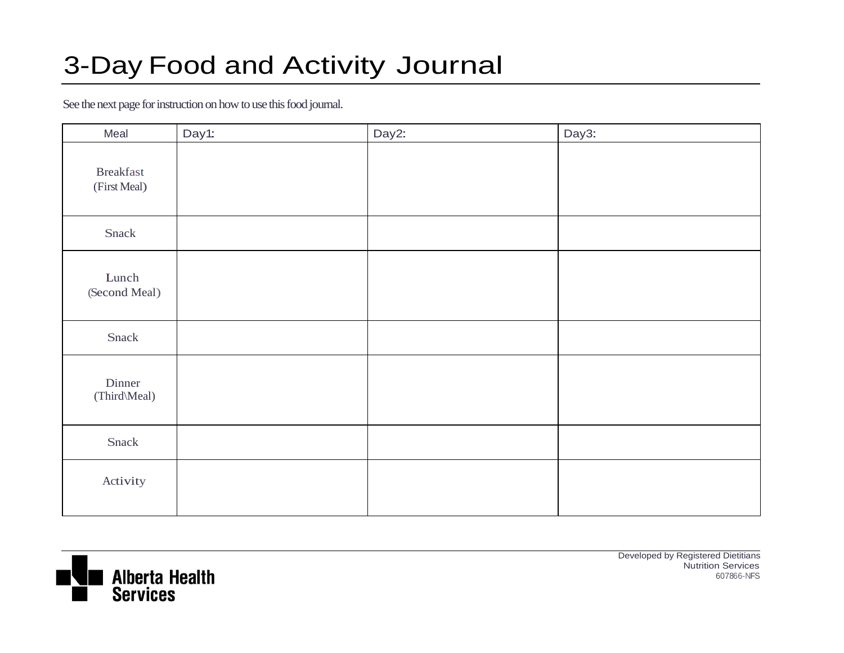# 3-Day Food and Activity Journal

See the next page for instruction on how to use this food journal.

| Meal                             | Day1: | Day2: | Day3: |
|----------------------------------|-------|-------|-------|
| <b>Breakfast</b><br>(First Meal) |       |       |       |
| Snack                            |       |       |       |
| Lunch<br>(Second Meal)           |       |       |       |
| Snack                            |       |       |       |
| Dinner<br>(Third\Meal)           |       |       |       |
| Snack                            |       |       |       |
| Activity                         |       |       |       |



Developed by Registered Dietitians Nutrition Services 607866-NFS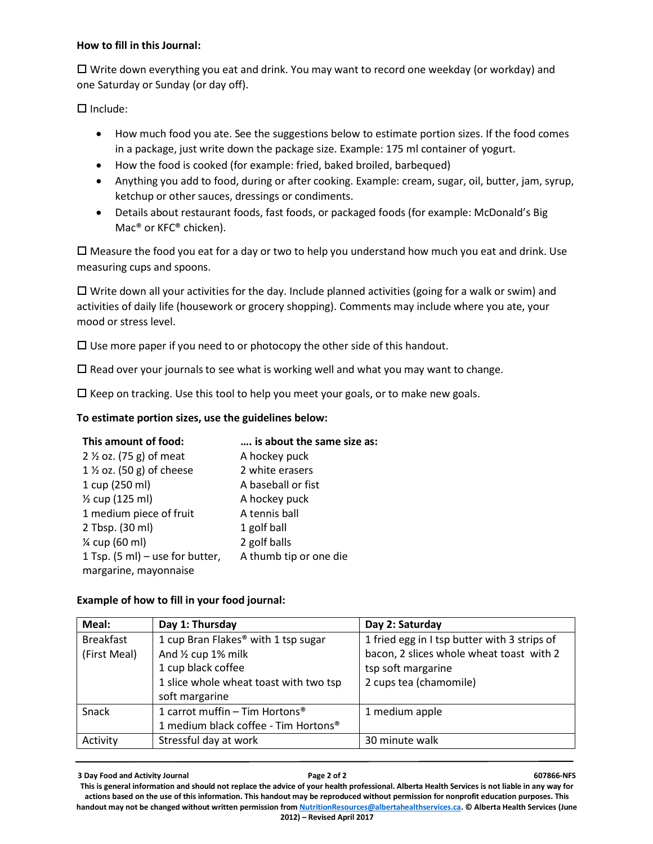#### **How to fill in this Journal:**

 Write down everything you eat and drink. You may want to record one weekday (or workday) and one Saturday or Sunday (or day off).

 $\Box$  Include:

- How much food you ate. See the suggestions below to estimate portion sizes. If the food comes in a package, just write down the package size. Example: 175 ml container of yogurt.
- How the food is cooked (for example: fried, baked broiled, barbequed)
- Anything you add to food, during or after cooking. Example: cream, sugar, oil, butter, jam, syrup, ketchup or other sauces, dressings or condiments.
- Details about restaurant foods, fast foods, or packaged foods (for example: McDonald's Big Mac® or KFC® chicken).

 $\Box$  Measure the food you eat for a day or two to help you understand how much you eat and drink. Use measuring cups and spoons.

 $\Box$  Write down all your activities for the day. Include planned activities (going for a walk or swim) and activities of daily life (housework or grocery shopping). Comments may include where you ate, your mood or stress level.

 $\square$  Use more paper if you need to or photocopy the other side of this handout.

 $\square$  Read over your journals to see what is working well and what you may want to change.

 $\square$  Keep on tracking. Use this tool to help you meet your goals, or to make new goals.

#### **To estimate portion sizes, use the guidelines below:**

| This amount of food:                | is about the same size as: |
|-------------------------------------|----------------------------|
| 2 $\frac{1}{2}$ oz. (75 g) of meat  | A hockey puck              |
| $1\frac{1}{2}$ oz. (50 g) of cheese | 2 white erasers            |
| 1 cup (250 ml)                      | A baseball or fist         |
| 1/ <sub>2</sub> cup (125 ml)        | A hockey puck              |
| 1 medium piece of fruit             | A tennis ball              |
| 2 Tbsp. (30 ml)                     | 1 golf ball                |
| % cup (60 ml)                       | 2 golf balls               |
| 1 Tsp. (5 ml) – use for butter,     | A thumb tip or one die     |
| margarine, mayonnaise               |                            |

#### **Example of how to fill in your food journal:**

| Meal:            | Day 1: Thursday                            | Day 2: Saturday                              |
|------------------|--------------------------------------------|----------------------------------------------|
| <b>Breakfast</b> | 1 cup Bran Flakes® with 1 tsp sugar        | 1 fried egg in I tsp butter with 3 strips of |
| (First Meal)     | And 1/2 cup 1% milk                        | bacon, 2 slices whole wheat toast with 2     |
|                  | 1 cup black coffee                         | tsp soft margarine                           |
|                  | 1 slice whole wheat toast with two tsp     | 2 cups tea (chamomile)                       |
|                  | soft margarine                             |                                              |
| Snack            | 1 carrot muffin - Tim Hortons <sup>®</sup> | 1 medium apple                               |
|                  | 1 medium black coffee - Tim Hortons®       |                                              |
| Activity         | Stressful day at work                      | 30 minute walk                               |

**3 Day Food and Activity Journal Page 2 of 2 607866-NFS**  This is general information and should not replace the advice of your health professional. Alberta Health Services is not liable in any way for **actions based on the use of this information. This handout may be reproduced without permission for nonprofit education purposes. This handout may not be changed without written permission fro[m NutritionResources@albertahealthservices.ca.](mailto:NutritionResources@albertahealthservices.ca) © Alberta Health Services (June 2012) – Revised April 2017**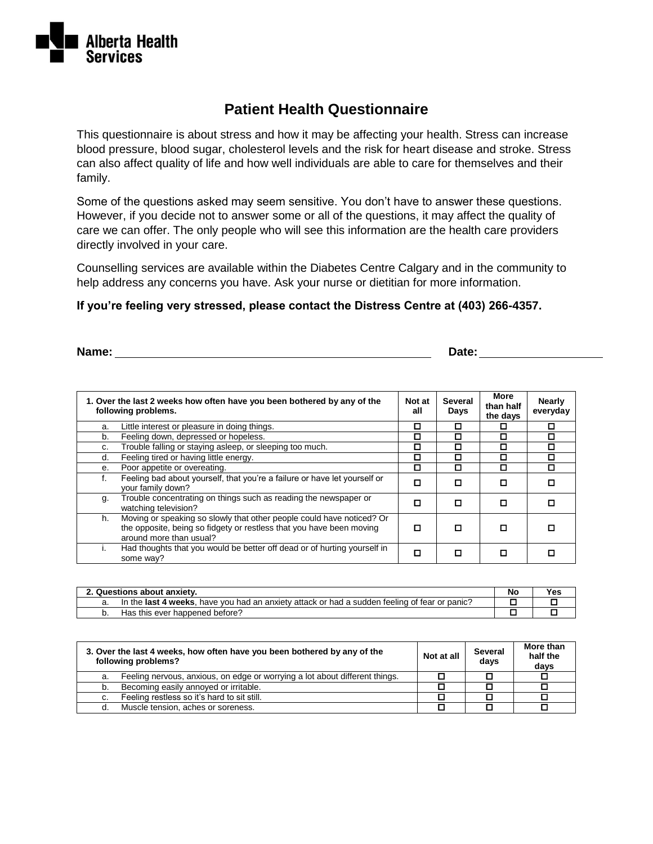

## **Patient Health Questionnaire**

This questionnaire is about stress and how it may be affecting your health. Stress can increase blood pressure, blood sugar, cholesterol levels and the risk for heart disease and stroke. Stress can also affect quality of life and how well individuals are able to care for themselves and their family.

Some of the questions asked may seem sensitive. You don't have to answer these questions. However, if you decide not to answer some or all of the questions, it may affect the quality of care we can offer. The only people who will see this information are the health care providers directly involved in your care.

Counselling services are available within the Diabetes Centre Calgary and in the community to help address any concerns you have. Ask your nurse or dietitian for more information.

#### **If you're feeling very stressed, please contact the Distress Centre at (403) 266-4357.**

**Name:** Date: **Date: Date: Date: Date: Date: Date: Date: Date: Date: Date: Date: Date: Date: Date: Date: Date: Date: Date: Date: Date: Date: Date: Date: Date: Date: Date:**

| 1. Over the last 2 weeks how often have you been bothered by any of the<br>following problems. |                                                                                                                                                                          | Not at<br>all | <b>Several</b><br>Days | More<br>than half<br>the days | <b>Nearly</b><br>everyday |
|------------------------------------------------------------------------------------------------|--------------------------------------------------------------------------------------------------------------------------------------------------------------------------|---------------|------------------------|-------------------------------|---------------------------|
| a.                                                                                             | Little interest or pleasure in doing things.                                                                                                                             | ◻             |                        | п                             | П                         |
| b.                                                                                             | Feeling down, depressed or hopeless.                                                                                                                                     | о             |                        | О                             | п                         |
| C.                                                                                             | Trouble falling or staying asleep, or sleeping too much.                                                                                                                 | ◻             |                        | О                             | □                         |
| d.                                                                                             | Feeling tired or having little energy.                                                                                                                                   | О             | П                      | о                             | п                         |
| е.                                                                                             | Poor appetite or overeating.                                                                                                                                             | □             | П                      | П                             | П                         |
|                                                                                                | Feeling bad about yourself, that you're a failure or have let yourself or<br>your family down?                                                                           | П             |                        | О                             |                           |
| g.                                                                                             | Trouble concentrating on things such as reading the newspaper or<br>watching television?                                                                                 | п             | П                      | п                             |                           |
| h.                                                                                             | Moving or speaking so slowly that other people could have noticed? Or<br>the opposite, being so fidgety or restless that you have been moving<br>around more than usual? | O             |                        | п                             |                           |
|                                                                                                | Had thoughts that you would be better off dead or of hurting yourself in<br>some way?                                                                                    | О             |                        |                               |                           |

| 2. Questions about anxiety. |                                                                                               | <b>No</b> | Yes |
|-----------------------------|-----------------------------------------------------------------------------------------------|-----------|-----|
|                             | In the last 4 weeks, have you had an anxiety attack or had a sudden feeling of fear or panic? |           |     |
|                             | Has this ever happened before?                                                                |           |     |

| 3. Over the last 4 weeks, how often have you been bothered by any of the<br>following problems? |                                                                             | Not at all | Several<br>days | More than<br>half the<br>davs |
|-------------------------------------------------------------------------------------------------|-----------------------------------------------------------------------------|------------|-----------------|-------------------------------|
| a.                                                                                              | Feeling nervous, anxious, on edge or worrying a lot about different things. |            |                 |                               |
| b.                                                                                              | Becoming easily annoyed or irritable.                                       |            |                 |                               |
| c.                                                                                              | Feeling restless so it's hard to sit still.                                 |            |                 |                               |
| d.                                                                                              | Muscle tension, aches or soreness.                                          |            |                 |                               |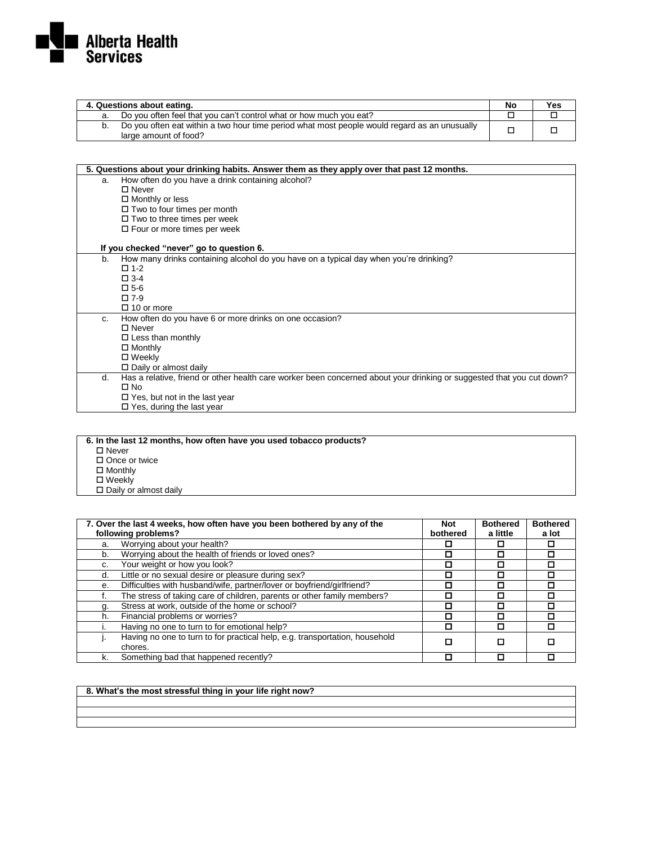

| 4. Questions about eating.                                                                                               |  | Yes |
|--------------------------------------------------------------------------------------------------------------------------|--|-----|
| Do you often feel that you can't control what or how much you eat?                                                       |  |     |
| b. Do you often eat within a two hour time period what most people would regard as an unusually<br>large amount of food? |  |     |

|    | 5. Questions about your drinking habits. Answer them as they apply over that past 12 months. |                                                                                                                       |  |  |
|----|----------------------------------------------------------------------------------------------|-----------------------------------------------------------------------------------------------------------------------|--|--|
| a. |                                                                                              | How often do you have a drink containing alcohol?                                                                     |  |  |
|    |                                                                                              | $\Box$ Never                                                                                                          |  |  |
|    |                                                                                              | $\Box$ Monthly or less                                                                                                |  |  |
|    |                                                                                              | $\Box$ Two to four times per month                                                                                    |  |  |
|    |                                                                                              | $\Box$ Two to three times per week                                                                                    |  |  |
|    |                                                                                              | $\square$ Four or more times per week                                                                                 |  |  |
|    |                                                                                              | If you checked "never" go to question 6.                                                                              |  |  |
| b. |                                                                                              | How many drinks containing alcohol do you have on a typical day when you're drinking?                                 |  |  |
|    |                                                                                              | $\square$ 1-2                                                                                                         |  |  |
|    |                                                                                              | $\square$ 3-4                                                                                                         |  |  |
|    |                                                                                              | $\square$ 5-6                                                                                                         |  |  |
|    |                                                                                              | $\square$ 7-9                                                                                                         |  |  |
|    |                                                                                              | $\Box$ 10 or more                                                                                                     |  |  |
| C. |                                                                                              | How often do you have 6 or more drinks on one occasion?                                                               |  |  |
|    |                                                                                              | $\square$ Never                                                                                                       |  |  |
|    |                                                                                              | $\Box$ Less than monthly                                                                                              |  |  |
|    |                                                                                              | $\Box$ Monthly                                                                                                        |  |  |
|    |                                                                                              | □ Weekly                                                                                                              |  |  |
|    |                                                                                              | $\Box$ Daily or almost daily                                                                                          |  |  |
| d. |                                                                                              | Has a relative, friend or other health care worker been concerned about your drinking or suggested that you cut down? |  |  |
|    |                                                                                              | $\square$ No                                                                                                          |  |  |
|    |                                                                                              | $\Box$ Yes, but not in the last year                                                                                  |  |  |
|    |                                                                                              | $\Box$ Yes, during the last year                                                                                      |  |  |

| 6. In the last 12 months, how often have you used tobacco products? |
|---------------------------------------------------------------------|
| $\Box$ Never                                                        |
| $\Box$ Once or twice                                                |
| $\Box$ Monthly                                                      |
| $\square$ Weekly                                                    |
| $\Box$ Daily or almost daily                                        |
|                                                                     |

| 7. Over the last 4 weeks, how often have you been bothered by any of the |                                                                             | <b>Not</b> | <b>Bothered</b> | <b>Bothered</b> |
|--------------------------------------------------------------------------|-----------------------------------------------------------------------------|------------|-----------------|-----------------|
| following problems?                                                      |                                                                             | bothered   | a little        | a lot           |
| a.                                                                       | Worrying about your health?                                                 |            |                 |                 |
| b.                                                                       | Worrying about the health of friends or loved ones?                         | П          | п               |                 |
| C.                                                                       | Your weight or how you look?                                                |            |                 |                 |
| d.                                                                       | Little or no sexual desire or pleasure during sex?                          | П          |                 |                 |
| е.                                                                       | Difficulties with husband/wife, partner/lover or boyfriend/girlfriend?      | П          | п               |                 |
|                                                                          | The stress of taking care of children, parents or other family members?     |            |                 |                 |
| g.                                                                       | Stress at work, outside of the home or school?                              | П          |                 |                 |
| h.                                                                       | Financial problems or worries?                                              | п          | п               |                 |
|                                                                          | Having no one to turn to for emotional help?                                | П          | П               |                 |
|                                                                          | Having no one to turn to for practical help, e.g. transportation, household |            | п               |                 |
|                                                                          | chores.                                                                     |            |                 |                 |
| k.                                                                       | Something bad that happened recently?                                       |            |                 |                 |

#### **8. What's the most stressful thing in your life right now?**